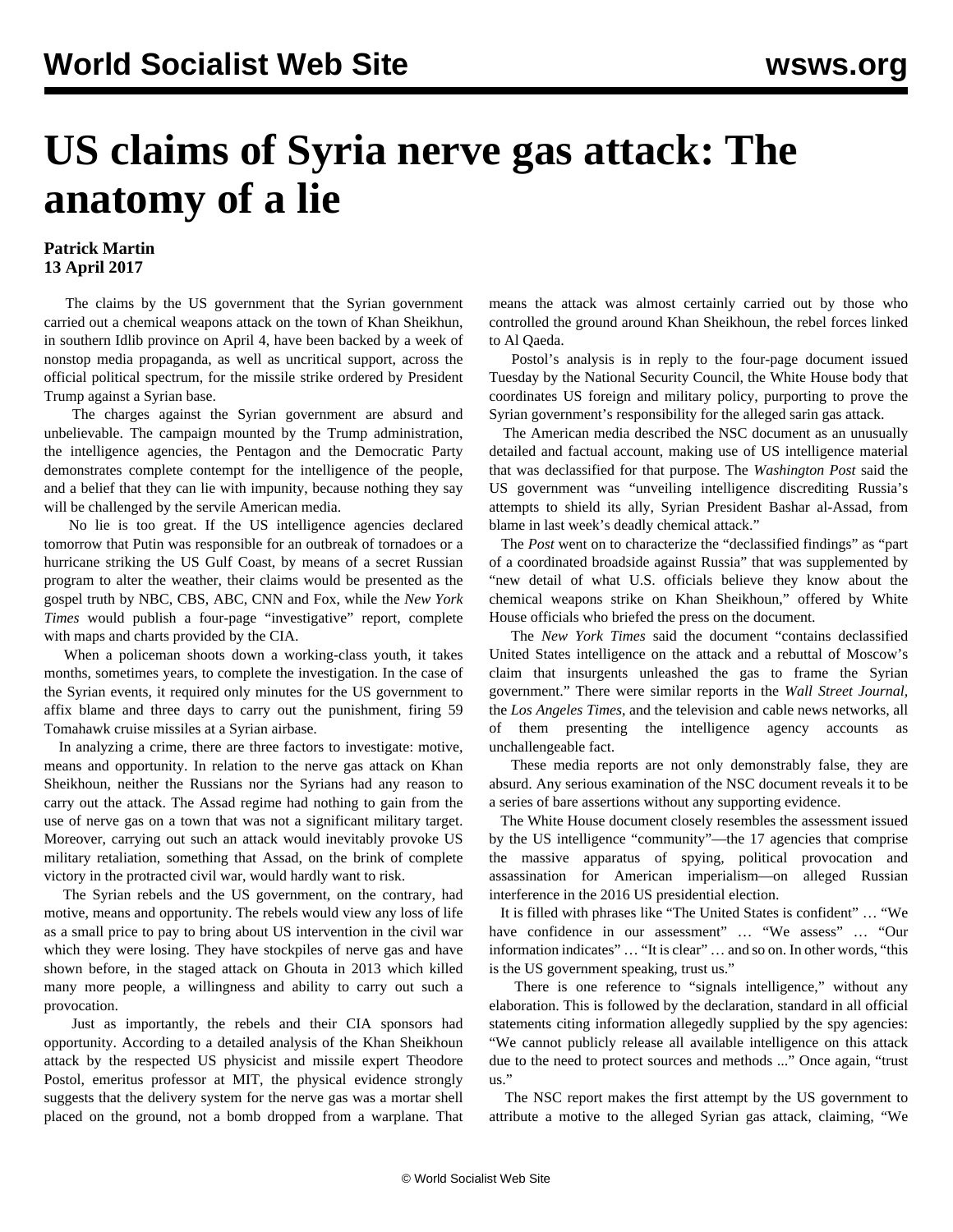## **US claims of Syria nerve gas attack: The anatomy of a lie**

## **Patrick Martin 13 April 2017**

 The claims by the US government that the Syrian government carried out a chemical weapons attack on the town of Khan Sheikhun, in southern Idlib province on April 4, have been backed by a week of nonstop media propaganda, as well as uncritical support, across the official political spectrum, for the missile strike ordered by President Trump against a Syrian base.

 The charges against the Syrian government are absurd and unbelievable. The campaign mounted by the Trump administration, the intelligence agencies, the Pentagon and the Democratic Party demonstrates complete contempt for the intelligence of the people, and a belief that they can lie with impunity, because nothing they say will be challenged by the servile American media.

 No lie is too great. If the US intelligence agencies declared tomorrow that Putin was responsible for an outbreak of tornadoes or a hurricane striking the US Gulf Coast, by means of a secret Russian program to alter the weather, their claims would be presented as the gospel truth by NBC, CBS, ABC, CNN and Fox, while the *New York Times* would publish a four-page "investigative" report, complete with maps and charts provided by the CIA.

 When a policeman shoots down a working-class youth, it takes months, sometimes years, to complete the investigation. In the case of the Syrian events, it required only minutes for the US government to affix blame and three days to carry out the punishment, firing 59 Tomahawk cruise missiles at a Syrian airbase.

 In analyzing a crime, there are three factors to investigate: motive, means and opportunity. In relation to the nerve gas attack on Khan Sheikhoun, neither the Russians nor the Syrians had any reason to carry out the attack. The Assad regime had nothing to gain from the use of nerve gas on a town that was not a significant military target. Moreover, carrying out such an attack would inevitably provoke US military retaliation, something that Assad, on the brink of complete victory in the protracted civil war, would hardly want to risk.

 The Syrian rebels and the US government, on the contrary, had motive, means and opportunity. The rebels would view any loss of life as a small price to pay to bring about US intervention in the civil war which they were losing. They have stockpiles of nerve gas and have shown before, in the staged attack on Ghouta in 2013 which killed many more people, a willingness and ability to carry out such a provocation.

 Just as importantly, the rebels and their CIA sponsors had opportunity. According to a [detailed analysis](https://www.scribd.com/document/344995943/Report-by-White-House-Alleging-Proof-of-Syria-as-the-Perpetrator-of-the-Nerve-Agent-Attack-in-Khan-Shaykhun-on-April-4-2017) of the Khan Sheikhoun attack by the respected US physicist and missile expert Theodore Postol, emeritus professor at MIT, the physical evidence strongly suggests that the delivery system for the nerve gas was a mortar shell placed on the ground, not a bomb dropped from a warplane. That means the attack was almost certainly carried out by those who controlled the ground around Khan Sheikhoun, the rebel forces linked to Al Qaeda.

 Postol's analysis is in reply to the four-page document issued Tuesday by the National Security Council, the White House body that coordinates US foreign and military policy, purporting to prove the Syrian government's responsibility for the alleged sarin gas attack.

 The American media described the NSC document as an unusually detailed and factual account, making use of US intelligence material that was declassified for that purpose. The *Washington Post* said the US government was "unveiling intelligence discrediting Russia's attempts to shield its ally, Syrian President Bashar al-Assad, from blame in last week's deadly chemical attack."

 The *Post* went on to characterize the "declassified findings" as "part of a coordinated broadside against Russia" that was supplemented by "new detail of what U.S. officials believe they know about the chemical weapons strike on Khan Sheikhoun," offered by White House officials who briefed the press on the document.

 The *New York Times* said the document "contains declassified United States intelligence on the attack and a rebuttal of Moscow's claim that insurgents unleashed the gas to frame the Syrian government." There were similar reports in the *Wall Street Journal,* the *Los Angeles Times*, and the television and cable news networks, all of them presenting the intelligence agency accounts as unchallengeable fact.

 These media reports are not only demonstrably false, they are absurd. Any serious examination of the NSC document reveals it to be a series of bare assertions without any supporting evidence.

 The White House document closely resembles the assessment issued by the US intelligence "community"—the 17 agencies that comprise the massive apparatus of spying, political provocation and assassination for American imperialism—on alleged Russian interference in the 2016 US presidential election.

 It is filled with phrases like "The United States is confident" … "We have confidence in our assessment" ... "We assess" ... "Our information indicates" … "It is clear" … and so on. In other words, "this is the US government speaking, trust us."

 There is one reference to "signals intelligence," without any elaboration. This is followed by the declaration, standard in all official statements citing information allegedly supplied by the spy agencies: "We cannot publicly release all available intelligence on this attack due to the need to protect sources and methods ..." Once again, "trust us."

 The NSC report makes the first attempt by the US government to attribute a motive to the alleged Syrian gas attack, claiming, "We